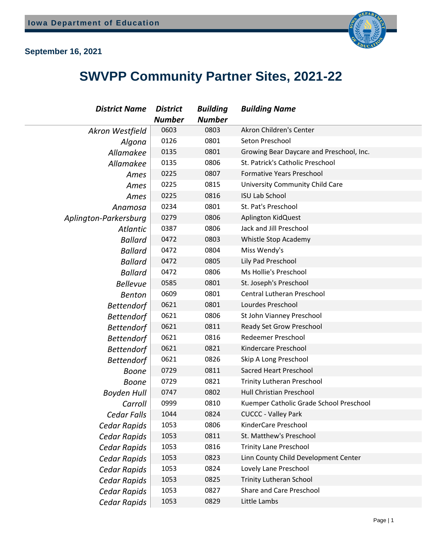# **September 16, 2021**



# **SWVPP Community Partner Sites, 2021-22**

| <b>District Name</b>  | <b>District</b> | <b>Building</b> | <b>Building Name</b>                     |
|-----------------------|-----------------|-----------------|------------------------------------------|
|                       | <b>Number</b>   | <b>Number</b>   |                                          |
| Akron Westfield       | 0603            | 0803            | Akron Children's Center                  |
| Algona                | 0126            | 0801            | Seton Preschool                          |
| Allamakee             | 0135            | 0801            | Growing Bear Daycare and Preschool, Inc. |
| Allamakee             | 0135            | 0806            | St. Patrick's Catholic Preschool         |
| Ames                  | 0225            | 0807            | <b>Formative Years Preschool</b>         |
| Ames                  | 0225            | 0815            | University Community Child Care          |
| Ames                  | 0225            | 0816            | <b>ISU Lab School</b>                    |
| Anamosa               | 0234            | 0801            | St. Pat's Preschool                      |
| Aplington-Parkersburg | 0279            | 0806            | Aplington KidQuest                       |
| <b>Atlantic</b>       | 0387            | 0806            | Jack and Jill Preschool                  |
| <b>Ballard</b>        | 0472            | 0803            | Whistle Stop Academy                     |
| <b>Ballard</b>        | 0472            | 0804            | Miss Wendy's                             |
| <b>Ballard</b>        | 0472            | 0805            | Lily Pad Preschool                       |
| <b>Ballard</b>        | 0472            | 0806            | Ms Hollie's Preschool                    |
| <b>Bellevue</b>       | 0585            | 0801            | St. Joseph's Preschool                   |
| <b>Benton</b>         | 0609            | 0801            | <b>Central Lutheran Preschool</b>        |
| <b>Bettendorf</b>     | 0621            | 0801            | Lourdes Preschool                        |
| <b>Bettendorf</b>     | 0621            | 0806            | St John Vianney Preschool                |
| <b>Bettendorf</b>     | 0621            | 0811            | Ready Set Grow Preschool                 |
| <b>Bettendorf</b>     | 0621            | 0816            | <b>Redeemer Preschool</b>                |
| <b>Bettendorf</b>     | 0621            | 0821            | Kindercare Preschool                     |
| <b>Bettendorf</b>     | 0621            | 0826            | Skip A Long Preschool                    |
| <b>Boone</b>          | 0729            | 0811            | <b>Sacred Heart Preschool</b>            |
| <b>Boone</b>          | 0729            | 0821            | <b>Trinity Lutheran Preschool</b>        |
| <b>Boyden Hull</b>    | 0747            | 0802            | Hull Christian Preschool                 |
| Carroll               | 0999            | 0810            | Kuemper Catholic Grade School Preschool  |
| <b>Cedar Falls</b>    | 1044            | 0824            | <b>CUCCC - Valley Park</b>               |
| Cedar Rapids          | 1053            | 0806            | KinderCare Preschool                     |
| Cedar Rapids          | 1053            | 0811            | St. Matthew's Preschool                  |
| Cedar Rapids          | 1053            | 0816            | <b>Trinity Lane Preschool</b>            |
| Cedar Rapids          | 1053            | 0823            | Linn County Child Development Center     |
| Cedar Rapids          | 1053            | 0824            | Lovely Lane Preschool                    |
| Cedar Rapids          | 1053            | 0825            | <b>Trinity Lutheran School</b>           |
| Cedar Rapids          | 1053            | 0827            | <b>Share and Care Preschool</b>          |
| Cedar Rapids          | 1053            | 0829            | Little Lambs                             |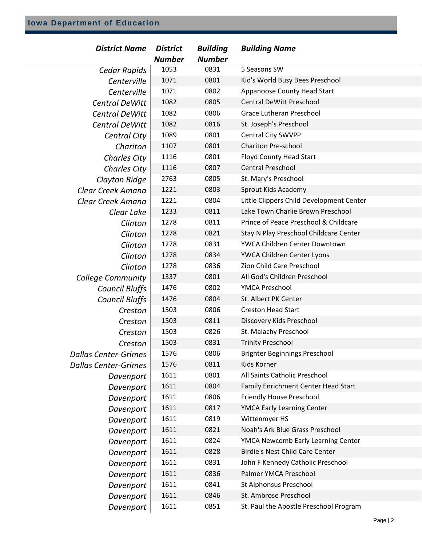| <b>District Name</b>        | <b>District</b><br><b>Number</b> | <b>Building</b><br><b>Number</b> | <b>Building Name</b>                     |
|-----------------------------|----------------------------------|----------------------------------|------------------------------------------|
| Cedar Rapids                | 1053                             | 0831                             | 5 Seasons SW                             |
| Centerville                 | 1071                             | 0801                             | Kid's World Busy Bees Preschool          |
| Centerville                 | 1071                             | 0802                             | Appanoose County Head Start              |
| <b>Central DeWitt</b>       | 1082                             | 0805                             | <b>Central DeWitt Preschool</b>          |
| <b>Central DeWitt</b>       | 1082                             | 0806                             | <b>Grace Lutheran Preschool</b>          |
| <b>Central DeWitt</b>       | 1082                             | 0816                             | St. Joseph's Preschool                   |
| Central City                | 1089                             | 0801                             | Central City SWVPP                       |
| Chariton                    | 1107                             | 0801                             | <b>Chariton Pre-school</b>               |
| <b>Charles City</b>         | 1116                             | 0801                             | Floyd County Head Start                  |
| <b>Charles City</b>         | 1116                             | 0807                             | <b>Central Preschool</b>                 |
| Clayton Ridge               | 2763                             | 0805                             | St. Mary's Preschool                     |
| Clear Creek Amana           | 1221                             | 0803                             | Sprout Kids Academy                      |
| Clear Creek Amana           | 1221                             | 0804                             | Little Clippers Child Development Center |
| Clear Lake                  | 1233                             | 0811                             | Lake Town Charlie Brown Preschool        |
| Clinton                     | 1278                             | 0811                             | Prince of Peace Preschool & Childcare    |
| Clinton                     | 1278                             | 0821                             | Stay N Play Preschool Childcare Center   |
| Clinton                     | 1278                             | 0831                             | YWCA Children Center Downtown            |
| Clinton                     | 1278                             | 0834                             | YWCA Children Center Lyons               |
| Clinton                     | 1278                             | 0836                             | Zion Child Care Preschool                |
| <b>College Community</b>    | 1337                             | 0801                             | All God's Children Preschool             |
| <b>Council Bluffs</b>       | 1476                             | 0802                             | YMCA Preschool                           |
| <b>Council Bluffs</b>       | 1476                             | 0804                             | St. Albert PK Center                     |
| Creston                     | 1503                             | 0806                             | <b>Creston Head Start</b>                |
| Creston                     | 1503                             | 0811                             | Discovery Kids Preschool                 |
| Creston                     | 1503                             | 0826                             | St. Malachy Preschool                    |
| Creston                     | 1503                             | 0831                             | <b>Trinity Preschool</b>                 |
| <b>Dallas Center-Grimes</b> | 1576                             | 0806                             | <b>Brighter Beginnings Preschool</b>     |
| <b>Dallas Center-Grimes</b> | 1576                             | 0811                             | Kids Korner                              |
| Davenport                   | 1611                             | 0801                             | All Saints Catholic Preschool            |
| Davenport                   | 1611                             | 0804                             | Family Enrichment Center Head Start      |
| Davenport                   | 1611                             | 0806                             | Friendly House Preschool                 |
| Davenport                   | 1611                             | 0817                             | <b>YMCA Early Learning Center</b>        |
| Davenport                   | 1611                             | 0819                             | Wittenmyer HS                            |
| Davenport                   | 1611                             | 0821                             | Noah's Ark Blue Grass Preschool          |
| Davenport                   | 1611                             | 0824                             | YMCA Newcomb Early Learning Center       |
| Davenport                   | 1611                             | 0828                             | Birdie's Nest Child Care Center          |
| Davenport                   | 1611                             | 0831                             | John F Kennedy Catholic Preschool        |
| Davenport                   | 1611                             | 0836                             | Palmer YMCA Preschool                    |
| Davenport                   | 1611                             | 0841                             | St Alphonsus Preschool                   |
| Davenport                   | 1611                             | 0846                             | St. Ambrose Preschool                    |
| Davenport                   | 1611                             | 0851                             | St. Paul the Apostle Preschool Program   |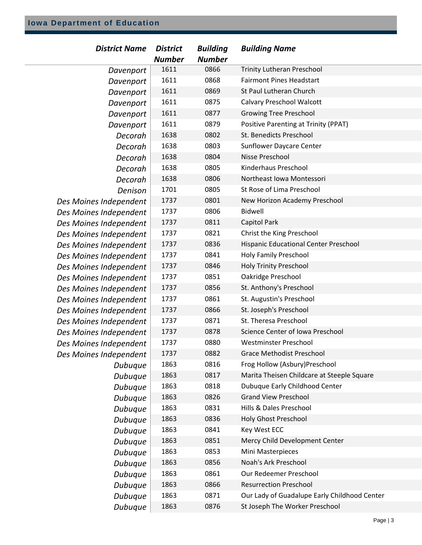| <b>District Name</b>   | <b>District</b><br><b>Number</b> | <b>Building</b><br><b>Number</b> | <b>Building Name</b>                         |
|------------------------|----------------------------------|----------------------------------|----------------------------------------------|
| Davenport              | 1611                             | 0866                             | <b>Trinity Lutheran Preschool</b>            |
| Davenport              | 1611                             | 0868                             | <b>Fairmont Pines Headstart</b>              |
| Davenport              | 1611                             | 0869                             | St Paul Lutheran Church                      |
| Davenport              | 1611                             | 0875                             | <b>Calvary Preschool Walcott</b>             |
| Davenport              | 1611                             | 0877                             | <b>Growing Tree Preschool</b>                |
| Davenport              | 1611                             | 0879                             | Positive Parenting at Trinity (PPAT)         |
| Decorah                | 1638                             | 0802                             | St. Benedicts Preschool                      |
| Decorah                | 1638                             | 0803                             | <b>Sunflower Daycare Center</b>              |
| Decorah                | 1638                             | 0804                             | Nisse Preschool                              |
| Decorah                | 1638                             | 0805                             | Kinderhaus Preschool                         |
| Decorah                | 1638                             | 0806                             | Northeast Iowa Montessori                    |
| Denison                | 1701                             | 0805                             | St Rose of Lima Preschool                    |
| Des Moines Independent | 1737                             | 0801                             | New Horizon Academy Preschool                |
| Des Moines Independent | 1737                             | 0806                             | Bidwell                                      |
| Des Moines Independent | 1737                             | 0811                             | <b>Capitol Park</b>                          |
| Des Moines Independent | 1737                             | 0821                             | Christ the King Preschool                    |
| Des Moines Independent | 1737                             | 0836                             | Hispanic Educational Center Preschool        |
| Des Moines Independent | 1737                             | 0841                             | Holy Family Preschool                        |
| Des Moines Independent | 1737                             | 0846                             | <b>Holy Trinity Preschool</b>                |
| Des Moines Independent | 1737                             | 0851                             | Oakridge Preschool                           |
| Des Moines Independent | 1737                             | 0856                             | St. Anthony's Preschool                      |
| Des Moines Independent | 1737                             | 0861                             | St. Augustin's Preschool                     |
| Des Moines Independent | 1737                             | 0866                             | St. Joseph's Preschool                       |
| Des Moines Independent | 1737                             | 0871                             | St. Theresa Preschool                        |
| Des Moines Independent | 1737                             | 0878                             | Science Center of Iowa Preschool             |
| Des Moines Independent | 1737                             | 0880                             | <b>Westminster Preschool</b>                 |
| Des Moines Independent | 1737                             | 0882                             | <b>Grace Methodist Preschool</b>             |
| Dubuque                | 1863                             | 0816                             | Frog Hollow (Asbury)Preschool                |
| Dubuque                | 1863                             | 0817                             | Marita Theisen Childcare at Steeple Square   |
| Dubuque                | 1863                             | 0818                             | Dubuque Early Childhood Center               |
| Dubuque                | 1863                             | 0826                             | <b>Grand View Preschool</b>                  |
| Dubuque                | 1863                             | 0831                             | Hills & Dales Preschool                      |
| Dubuque                | 1863                             | 0836                             | Holy Ghost Preschool                         |
| Dubuque                | 1863                             | 0841                             | Key West ECC                                 |
| Dubuque                | 1863                             | 0851                             | Mercy Child Development Center               |
| Dubuque                | 1863                             | 0853                             | Mini Masterpieces                            |
| Dubuque                | 1863                             | 0856                             | Noah's Ark Preschool                         |
| Dubuque                | 1863                             | 0861                             | Our Redeemer Preschool                       |
| Dubuque                | 1863                             | 0866                             | <b>Resurrection Preschool</b>                |
| Dubuque                | 1863                             | 0871                             | Our Lady of Guadalupe Early Childhood Center |
| Dubuque                | 1863                             | 0876                             | St Joseph The Worker Preschool               |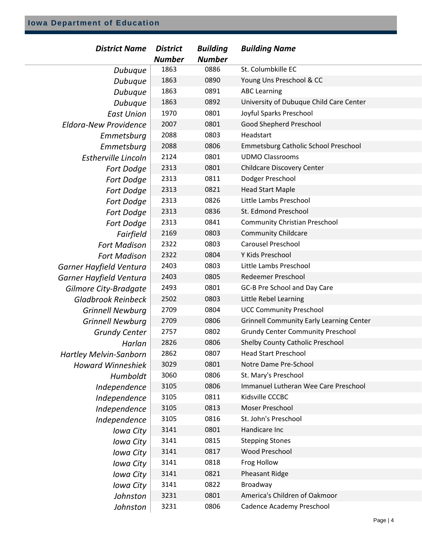$\overline{a}$ 

| <b>District Name</b>          | <b>District</b><br><b>Number</b> | <b>Building</b><br><b>Number</b> | <b>Building Name</b>                            |
|-------------------------------|----------------------------------|----------------------------------|-------------------------------------------------|
| Dubuque                       | 1863                             | 0886                             | St. Columbkille EC                              |
| Dubuque                       | 1863                             | 0890                             | Young Uns Preschool & CC                        |
| Dubuque                       | 1863                             | 0891                             | <b>ABC Learning</b>                             |
| Dubuque                       | 1863                             | 0892                             | University of Dubuque Child Care Center         |
| <b>East Union</b>             | 1970                             | 0801                             | Joyful Sparks Preschool                         |
| <b>Eldora-New Providence</b>  | 2007                             | 0801                             | Good Shepherd Preschool                         |
| Emmetsburg                    | 2088                             | 0803                             | Headstart                                       |
| Emmetsburg                    | 2088                             | 0806                             | Emmetsburg Catholic School Preschool            |
| <b>Estherville Lincoln</b>    | 2124                             | 0801                             | <b>UDMO Classrooms</b>                          |
| Fort Dodge                    | 2313                             | 0801                             | <b>Childcare Discovery Center</b>               |
| Fort Dodge                    | 2313                             | 0811                             | Dodger Preschool                                |
| Fort Dodge                    | 2313                             | 0821                             | <b>Head Start Maple</b>                         |
| Fort Dodge                    | 2313                             | 0826                             | Little Lambs Preschool                          |
| Fort Dodge                    | 2313                             | 0836                             | St. Edmond Preschool                            |
| Fort Dodge                    | 2313                             | 0841                             | <b>Community Christian Preschool</b>            |
| Fairfield                     | 2169                             | 0803                             | <b>Community Childcare</b>                      |
| <b>Fort Madison</b>           | 2322                             | 0803                             | <b>Carousel Preschool</b>                       |
| <b>Fort Madison</b>           | 2322                             | 0804                             | Y Kids Preschool                                |
| Garner Hayfield Ventura       | 2403                             | 0803                             | Little Lambs Preschool                          |
| Garner Hayfield Ventura       | 2403                             | 0805                             | <b>Redeemer Preschool</b>                       |
| Gilmore City-Bradgate         | 2493                             | 0801                             | GC-B Pre School and Day Care                    |
| <b>Gladbrook Reinbeck</b>     | 2502                             | 0803                             | Little Rebel Learning                           |
| <b>Grinnell Newburg</b>       | 2709                             | 0804                             | <b>UCC Community Preschool</b>                  |
| <b>Grinnell Newburg</b>       | 2709                             | 0806                             | <b>Grinnell Community Early Learning Center</b> |
| <b>Grundy Center</b>          | 2757                             | 0802                             | <b>Grundy Center Community Preschool</b>        |
| Harlan                        | 2826                             | 0806                             | <b>Shelby County Catholic Preschool</b>         |
| <b>Hartley Melvin-Sanborn</b> | 2862                             | 0807                             | Head Start Preschool                            |
| <b>Howard Winneshiek</b>      | 3029                             | 0801                             | Notre Dame Pre-School                           |
| Humboldt                      | 3060                             | 0806                             | St. Mary's Preschool                            |
| Independence                  | 3105                             | 0806                             | Immanuel Lutheran Wee Care Preschool            |
| Independence                  | 3105                             | 0811                             | Kidsville CCCBC                                 |
| Independence                  | 3105                             | 0813                             | Moser Preschool                                 |
| Independence                  | 3105                             | 0816                             | St. John's Preschool                            |
| Iowa City                     | 3141                             | 0801                             | Handicare Inc                                   |
| Iowa City                     | 3141                             | 0815                             | <b>Stepping Stones</b>                          |
| Iowa City                     | 3141                             | 0817                             | Wood Preschool                                  |
| Iowa City                     | 3141                             | 0818                             | Frog Hollow                                     |
| Iowa City                     | 3141                             | 0821                             | Pheasant Ridge                                  |
| Iowa City                     | 3141                             | 0822                             | Broadway                                        |
| Johnston                      | 3231                             | 0801                             | America's Children of Oakmoor                   |
| Johnston                      | 3231                             | 0806                             | Cadence Academy Preschool                       |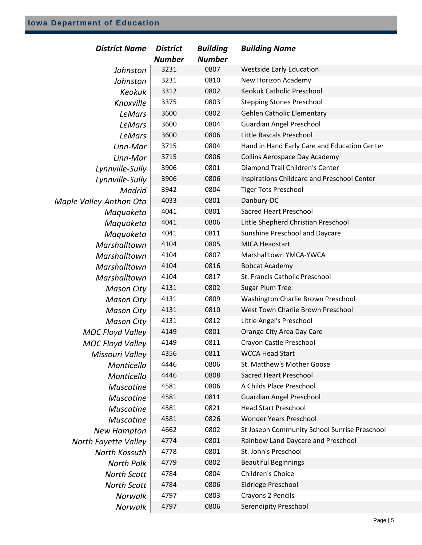| <b>District Name</b>    | <b>District</b><br><b>Number</b> | <b>Building</b><br><b>Number</b> | <b>Building Name</b>                         |
|-------------------------|----------------------------------|----------------------------------|----------------------------------------------|
| Johnston                | 3231                             | 0807                             | <b>Westside Early Education</b>              |
| Johnston                | 3231                             | 0810                             | New Horizon Academy                          |
| <b>Keokuk</b>           | 3312                             | 0802                             | Keokuk Catholic Preschool                    |
| Knoxville               | 3375                             | 0803                             | <b>Stepping Stones Preschool</b>             |
| LeMars                  | 3600                             | 0802                             | <b>Gehlen Catholic Elementary</b>            |
| LeMars                  | 3600                             | 0804                             | <b>Guardian Angel Preschool</b>              |
| <b>LeMars</b>           | 3600                             | 0806                             | Little Rascals Preschool                     |
| Linn-Mar                | 3715                             | 0804                             | Hand in Hand Early Care and Education Center |
| Linn-Mar                | 3715                             | 0806                             | Collins Aerospace Day Academy                |
| Lynnville-Sully         | 3906                             | 0801                             | Diamond Trail Children's Center              |
| Lynnville-Sully         | 3906                             | 0806                             | Inspirations Childcare and Preschool Center  |
| Madrid                  | 3942                             | 0804                             | <b>Tiger Tots Preschool</b>                  |
| Maple Valley-Anthon Oto | 4033                             | 0801                             | Danbury-DC                                   |
| Maguoketa               | 4041                             | 0801                             | <b>Sacred Heart Preschool</b>                |
| Maquoketa               | 4041                             | 0806                             | Little Shepherd Christian Preschool          |
| Maquoketa               | 4041                             | 0811                             | Sunshine Preschool and Daycare               |
| Marshalltown            | 4104                             | 0805                             | <b>MICA Headstart</b>                        |
| Marshalltown            | 4104                             | 0807                             | Marshalltown YMCA-YWCA                       |
| Marshalltown            | 4104                             | 0816                             | <b>Bobcat Academy</b>                        |
| Marshalltown            | 4104                             | 0817                             | St. Francis Catholic Preschool               |
| <b>Mason City</b>       | 4131                             | 0802                             | <b>Sugar Plum Tree</b>                       |
| <b>Mason City</b>       | 4131                             | 0809                             | Washington Charlie Brown Preschool           |
| <b>Mason City</b>       | 4131                             | 0810                             | West Town Charlie Brown Preschool            |
| <b>Mason City</b>       | 4131                             | 0812                             | Little Angel's Preschool                     |
| <b>MOC Floyd Valley</b> | 4149                             | 0801                             | Orange City Area Day Care                    |
| <b>MOC Floyd Valley</b> | 4149                             | 0811                             | Crayon Castle Preschool                      |
| Missouri Valley         | 4356                             | 0811                             | <b>WCCA Head Start</b>                       |
| Monticello              | 4446                             | 0806                             | St. Matthew's Mother Goose                   |
| Monticello              | 4446                             | 0808                             | <b>Sacred Heart Preschool</b>                |
| <b>Muscatine</b>        | 4581                             | 0806                             | A Childs Place Preschool                     |
| <b>Muscatine</b>        | 4581                             | 0811                             | <b>Guardian Angel Preschool</b>              |
| <b>Muscatine</b>        | 4581                             | 0821                             | <b>Head Start Preschool</b>                  |
| <b>Muscatine</b>        | 4581                             | 0826                             | Wonder Years Preschool                       |
| <b>New Hampton</b>      | 4662                             | 0802                             | St Joseph Community School Sunrise Preschool |
| North Fayette Valley    | 4774                             | 0801                             | Rainbow Land Daycare and Preschool           |
| North Kossuth           | 4778                             | 0801                             | St. John's Preschool                         |
| North Polk              | 4779                             | 0802                             | <b>Beautiful Beginnings</b>                  |
| <b>North Scott</b>      | 4784                             | 0804                             | Children's Choice                            |
| <b>North Scott</b>      | 4784                             | 0806                             | <b>Eldridge Preschool</b>                    |
| Norwalk                 | 4797                             | 0803                             | Crayons 2 Pencils                            |
| Norwalk                 | 4797                             | 0806                             | Serendipity Preschool                        |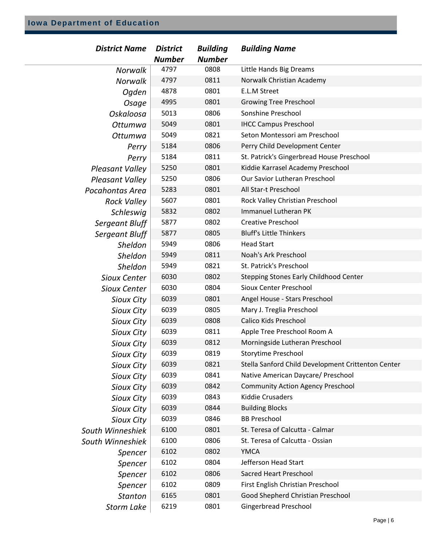| <b>District Name</b>   | <b>District</b><br><b>Number</b> | <b>Building</b><br><b>Number</b> | <b>Building Name</b>                               |
|------------------------|----------------------------------|----------------------------------|----------------------------------------------------|
| Norwalk                | 4797                             | 0808                             | Little Hands Big Dreams                            |
| <b>Norwalk</b>         | 4797                             | 0811                             | Norwalk Christian Academy                          |
| Ogden                  | 4878                             | 0801                             | E.L.M Street                                       |
| Osage                  | 4995                             | 0801                             | <b>Growing Tree Preschool</b>                      |
| Oskaloosa              | 5013                             | 0806                             | Sonshine Preschool                                 |
| Ottumwa                | 5049                             | 0801                             | <b>IHCC Campus Preschool</b>                       |
| Ottumwa                | 5049                             | 0821                             | Seton Montessori am Preschool                      |
| Perry                  | 5184                             | 0806                             | Perry Child Development Center                     |
| Perry                  | 5184                             | 0811                             | St. Patrick's Gingerbread House Preschool          |
| <b>Pleasant Valley</b> | 5250                             | 0801                             | Kiddie Karrasel Academy Preschool                  |
| <b>Pleasant Valley</b> | 5250                             | 0806                             | Our Savior Lutheran Preschool                      |
| Pocahontas Area        | 5283                             | 0801                             | All Star-t Preschool                               |
| <b>Rock Valley</b>     | 5607                             | 0801                             | Rock Valley Christian Preschool                    |
| Schleswig              | 5832                             | 0802                             | <b>Immanuel Lutheran PK</b>                        |
| Sergeant Bluff         | 5877                             | 0802                             | <b>Creative Preschool</b>                          |
| Sergeant Bluff         | 5877                             | 0805                             | <b>Bluff's Little Thinkers</b>                     |
| Sheldon                | 5949                             | 0806                             | <b>Head Start</b>                                  |
| Sheldon                | 5949                             | 0811                             | Noah's Ark Preschool                               |
| <b>Sheldon</b>         | 5949                             | 0821                             | St. Patrick's Preschool                            |
| <b>Sioux Center</b>    | 6030                             | 0802                             | Stepping Stones Early Childhood Center             |
| <b>Sioux Center</b>    | 6030                             | 0804                             | <b>Sioux Center Preschool</b>                      |
| Sioux City             | 6039                             | 0801                             | Angel House - Stars Preschool                      |
| Sioux City             | 6039                             | 0805                             | Mary J. Treglia Preschool                          |
| Sioux City             | 6039                             | 0808                             | Calico Kids Preschool                              |
| Sioux City             | 6039                             | 0811                             | Apple Tree Preschool Room A                        |
| Sioux City             | 6039                             | 0812                             | Morningside Lutheran Preschool                     |
| Sioux City             | 6039                             | 0819                             | <b>Storytime Preschool</b>                         |
| Sioux City             | 6039                             | 0821                             | Stella Sanford Child Development Crittenton Center |
| Sioux City             | 6039                             | 0841                             | Native American Daycare/ Preschool                 |
| Sioux City             | 6039                             | 0842                             | <b>Community Action Agency Preschool</b>           |
| Sioux City             | 6039                             | 0843                             | Kiddie Crusaders                                   |
| Sioux City             | 6039                             | 0844                             | <b>Building Blocks</b>                             |
| Sioux City             | 6039                             | 0846                             | <b>BB Preschool</b>                                |
| South Winneshiek       | 6100                             | 0801                             | St. Teresa of Calcutta - Calmar                    |
| South Winneshiek       | 6100                             | 0806                             | St. Teresa of Calcutta - Ossian                    |
| Spencer                | 6102                             | 0802                             | <b>YMCA</b>                                        |
| Spencer                | 6102                             | 0804                             | Jefferson Head Start                               |
| Spencer                | 6102                             | 0806                             | <b>Sacred Heart Preschool</b>                      |
| Spencer                | 6102                             | 0809                             | First English Christian Preschool                  |
| <b>Stanton</b>         | 6165                             | 0801                             | Good Shepherd Christian Preschool                  |
| Storm Lake             | 6219                             | 0801                             | Gingerbread Preschool                              |